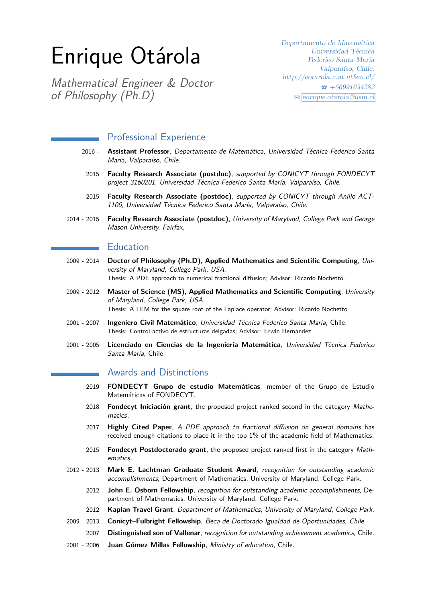# Enrique Otárola

Mathematical Engineer & Doctor of Philosophy (Ph.D)

Departamento de Matemática Universidad Técnica Federico Santa María Valparaíso, Chile. http://eotarola.mat.utfsm.cl/  $\bullet$  +56991654282  $\boxtimes$  [enrique.otarola@usm.cl](mailto:enrique.otarola@usm.cl)

#### Professional Experience

- 2016 **Assistant Professor**, Departamento de Matemática, Universidad Técnica Federico Santa María, Valparaíso, Chile.
- 2015 **Faculty Research Associate (postdoc)**, supported by CONICYT through FONDECYT project 3160201, Universidad Técnica Federico Santa María, Valparaíso, Chile.
- 2015 **Faculty Research Associate (postdoc)**, supported by CONICYT through Anillo ACT-1106, Universidad Técnica Federico Santa María, Valparaíso, Chile.
- 2014 2015 **Faculty Research Associate (postdoc)**, University of Maryland, College Park and George Mason University, Fairfax.

#### Education

- 2009 2014 **Doctor of Philosophy (Ph.D), Applied Mathematics and Scientific Computing**, University of Maryland, College Park, USA. Thesis: A PDE approach to numerical fractional diffusion; Advisor: Ricardo Nochetto.
- 2009 2012 **Master of Science (MS), Applied Mathematics and Scientific Computing**, University of Maryland, College Park, USA. Thesis: A FEM for the square root of the Laplace operator; Advisor: Ricardo Nochetto.
- 2001 2007 **Ingeniero Civil Matemático**, Universidad Técnica Federico Santa María, Chile. Thesis: Control activo de estructuras delgadas; Advisor: Erwin Hernández
- 2001 2005 **Licenciado en Ciencias de la Ingeniería Matemática**, Universidad Técnica Federico Santa María, Chile.

### Awards and Distinctions

- 2019 **FONDECYT Grupo de estudio Matemáticas**, member of the Grupo de Estudio Matemáticas of FONDECYT.
- 2018 **Fondecyt Iniciación grant**, the proposed project ranked second in the category Mathematics.
- 2017 **Highly Cited Paper**, A PDE approach to fractional diffusion on general domains has received enough citations to place it in the top 1% of the academic field of Mathematics.
- 2015 **Fondecyt Postdoctorado grant**, the proposed project ranked first in the category Mathematics.
- 2012 2013 **Mark E. Lachtman Graduate Student Award**, recognition for outstanding academic accomplishments, Department of Mathematics, University of Maryland, College Park.
	- 2012 **John E. Osborn Fellowship**, recognition for outstanding academic accomplishments, Department of Mathematics, University of Maryland, College Park.
	- 2012 **Kaplan Travel Grant**, Department of Mathematics, University of Maryland, College Park.
- 2009 2013 **Conicyt–Fulbright Fellowship**, Beca de Doctorado Igualdad de Oportunidades, Chile.
	- 2007 **Distinguished son of Vallenar**, recognition for outstanding achievement academics, Chile.
- 2001 2006 **Juan Gómez Millas Fellowship**, Ministry of education, Chile.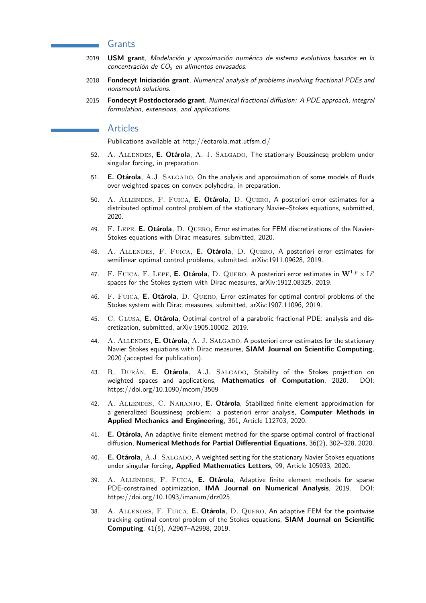#### Grants

- 2019 **USM grant**, Modelación y aproximación numérica de sistema evolutivos basados en la concentración de  $CO<sub>2</sub>$  en alimentos envasados.
- 2018 **Fondecyt Iniciación grant**, Numerical analysis of problems involving fractional PDEs and nonsmooth solutions.
- 2015 **Fondecyt Postdoctorado grant**, Numerical fractional diffusion: A PDE approach, integral formulation, extensions, and applications.

#### Articles

Publications available at http://eotarola.mat.utfsm.cl/

- 52. A. Allendes, **E. Otárola**, A. J. Salgado, The stationary Boussinesq problem under singular forcing, in preparation.
- 51. **E. Otárola**, A.J. SALGADO, On the analysis and approximation of some models of fluids over weighted spaces on convex polyhedra, in preparation.
- 50. A. Allendes, F. Fuica, **E. Otárola**, D. Quero, A posteriori error estimates for a distributed optimal control problem of the stationary Navier–Stokes equations, submitted, 2020.
- 49. F. Lepe, **E. Otárola**, D. Quero, Error estimates for FEM discretizations of the Navier-Stokes equations with Dirac measures, submitted, 2020.
- 48. A. Allendes, F. Fuica, **E. Otárola**, D. Quero, A posteriori error estimates for semilinear optimal control problems, submitted, arXiv:1911.09628, 2019.
- 47.  $\rm{F.}$  FUICA,  $\rm{F.}$  LEPE, **E. Otárola**,  $\rm{D.}$  QUERO,  $\rm{A}$  posteriori error estimates in  $\mathbf{W}^{1,p} \times \rm{L}^p$ spaces for the Stokes system with Dirac measures, arXiv:1912.08325, 2019.
- 46. F. Fuica, **E. Otárola**, D. Quero, Error estimates for optimal control problems of the Stokes system with Dirac measures, submitted, arXiv:1907.11096, 2019.
- 45. C. Glusa, **E. Otárola**, Optimal control of a parabolic fractional PDE: analysis and discretization, submitted, arXiv:1905.10002, 2019.
- 44. A. ALLENDES, **E. Otárola**, A. J. SALGADO, A posteriori error estimates for the stationary Navier Stokes equations with Dirac measures, **SIAM Journal on Scientific Computing**, 2020 (accepted for publication).
- 43. R. Durán, **E. Otárola**, A.J. Salgado, Stability of the Stokes projection on weighted spaces and applications, **Mathematics of Computation**, 2020. DOI: https://doi.org/10.1090/mcom/3509
- 42. A. Allendes, C. Naranjo, **E. Otárola**, Stabilized finite element approximation for a generalized Boussinesq problem: a posteriori error analysis, **Computer Methods in Applied Mechanics and Engineering**, 361, Article 112703, 2020.
- 41. **E. Otárola**, An adaptive finite element method for the sparse optimal control of fractional diffusion, **Numerical Methods for Partial Differential Equations**, 36(2), 302–328, 2020.
- 40. **E. Otárola**, A.J. SALGADO, A weighted setting for the stationary Navier Stokes equations under singular forcing, **Applied Mathematics Letters**, 99, Article 105933, 2020.
- 39. A. Allendes, F. Fuica, **E. Otárola**, Adaptive finite element methods for sparse PDE-constrained optimization, **IMA Journal on Numerical Analysis**, 2019. DOI: https://doi.org/10.1093/imanum/drz025
- 38. A. Allendes, F. Fuica, **E. Otárola**, D. Quero, An adaptive FEM for the pointwise tracking optimal control problem of the Stokes equations, **SIAM Journal on Scientific Computing**, 41(5), A2967–A2998, 2019.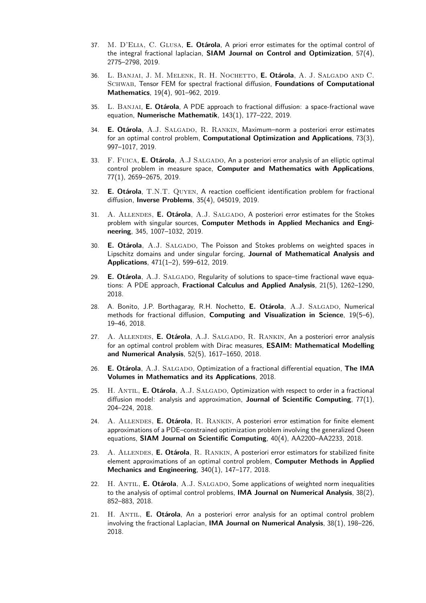- 37. M. D'Elia, C. Glusa, **E. Otárola**, A priori error estimates for the optimal control of the integral fractional laplacian, **SIAM Journal on Control and Optimization**, 57(4), 2775–2798, 2019.
- 36. L. Banjai, J. M. Melenk, R. H. Nochetto, **E. Otárola**, A. J. Salgado and C. Schwab, Tensor FEM for spectral fractional diffusion, **Foundations of Computational Mathematics**, 19(4), 901–962, 2019.
- 35. L. Banjai, **E. Otárola**, A PDE approach to fractional diffusion: a space-fractional wave equation, **Numerische Mathematik**, 143(1), 177–222, 2019.
- 34. **E. Otárola**, A.J. Salgado, R. Rankin, Maximum–norm a posteriori error estimates for an optimal control problem, **Computational Optimization and Applications**, 73(3), 997–1017, 2019.
- 33. F. FUICA, **E. Otárola**, A.J SALGADO, An a posteriori error analysis of an elliptic optimal control problem in measure space, **Computer and Mathematics with Applications**, 77(1), 2659–2675, 2019.
- 32. **E. Otárola**, T.N.T. Quyen, A reaction coefficient identification problem for fractional diffusion, **Inverse Problems**, 35(4), 045019, 2019.
- 31. A. ALLENDES, **E. Otárola**, A.J. SALGADO, A posteriori error estimates for the Stokes problem with singular sources, **Computer Methods in Applied Mechanics and Engineering**, 345, 1007–1032, 2019.
- 30. **E. Otárola**, A.J. SALGADO, The Poisson and Stokes problems on weighted spaces in Lipschitz domains and under singular forcing, **Journal of Mathematical Analysis and Applications**, 471(1–2), 599–612, 2019.
- 29. **E. Otárola**, A.J. SALGADO, Regularity of solutions to space-time fractional wave equations: A PDE approach, **Fractional Calculus and Applied Analysis**, 21(5), 1262–1290, 2018.
- 28. A. Bonito, J.P. Borthagaray, R.H. Nochetto, **E. Otárola**, A.J. Salgado, Numerical methods for fractional diffusion, **Computing and Visualization in Science**, 19(5–6), 19–46, 2018.
- 27. A. ALLENDES, **E. Otárola**, A.J. SALGADO, R. RANKIN, An a posteriori error analysis for an optimal control problem with Dirac measures, **ESAIM: Mathematical Modelling and Numerical Analysis**, 52(5), 1617–1650, 2018.
- 26. **E. Otárola**, A.J. Salgado, Optimization of a fractional differential equation, **The IMA Volumes in Mathematics and its Applications**, 2018.
- 25. H. ANTIL, **E. Otárola**, A.J. SALGADO, Optimization with respect to order in a fractional diffusion model: analysis and approximation, **Journal of Scientific Computing**, 77(1), 204–224, 2018.
- 24. A. Allendes, **E. Otárola**, R. Rankin, A posteriori error estimation for finite element approximations of a PDE–constrained optimization problem involving the generalized Oseen equations, **SIAM Journal on Scientific Computing**, 40(4), AA2200–AA2233, 2018.
- 23. A. Allendes, **E. Otárola**, R. Rankin, A posteriori error estimators for stabilized finite element approximations of an optimal control problem, **Computer Methods in Applied Mechanics and Engineering**, 340(1), 147–177, 2018.
- 22. H. ANTIL, **E. Otárola**, A.J. SALGADO, Some applications of weighted norm inequalities to the analysis of optimal control problems, **IMA Journal on Numerical Analysis**, 38(2), 852–883, 2018.
- 21. H. Antil, **E. Otárola**, An a posteriori error analysis for an optimal control problem involving the fractional Laplacian, **IMA Journal on Numerical Analysis**, 38(1), 198–226, 2018.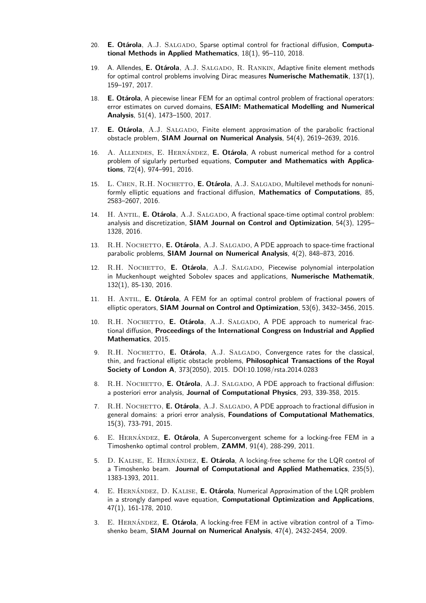- 20. E. Otárola, A.J. SALGADO, Sparse optimal control for fractional diffusion, Computa**tional Methods in Applied Mathematics**, 18(1), 95–110, 2018.
- 19. A. Allendes, **E. Otárola**, A.J. Salgado, R. Rankin, Adaptive finite element methods for optimal control problems involving Dirac measures **Numerische Mathematik**, 137(1), 159–197, 2017.
- 18. **E. Otárola**, A piecewise linear FEM for an optimal control problem of fractional operators: error estimates on curved domains, **ESAIM: Mathematical Modelling and Numerical Analysis**, 51(4), 1473–1500, 2017.
- 17. **E. Otárola**, A.J. SALGADO, Finite element approximation of the parabolic fractional obstacle problem, **SIAM Journal on Numerical Analysis**, 54(4), 2619–2639, 2016.
- 16. A. Allendes, E. Hernández, **E. Otárola**, A robust numerical method for a control problem of sigularly perturbed equations, **Computer and Mathematics with Applications**, 72(4), 974–991, 2016.
- 15. L. CHEN, R.H. NOCHETTO, **E. Otárola**, A.J. SALGADO, Multilevel methods for nonuniformly elliptic equations and fractional diffusion, **Mathematics of Computations**, 85, 2583–2607, 2016.
- 14. H. ANTIL, **E. Otárola**, A.J. SALGADO, A fractional space-time optimal control problem: analysis and discretization, **SIAM Journal on Control and Optimization**, 54(3), 1295– 1328, 2016.
- 13. R.H. NOCHETTO, **E. Otárola**, A.J. SALGADO, A PDE approach to space-time fractional parabolic problems, **SIAM Journal on Numerical Analysis**, 4(2), 848–873, 2016.
- 12. R.H. NOCHETTO, **E. Otárola**, A.J. SALGADO, Piecewise polynomial interpolation in Muckenhoupt weighted Sobolev spaces and applications, **Numerische Mathematik**, 132(1), 85-130, 2016.
- 11. H. Antil, **E. Otárola**, A FEM for an optimal control problem of fractional powers of elliptic operators, **SIAM Journal on Control and Optimization**, 53(6), 3432–3456, 2015.
- 10. R.H. NOCHETTO, **E. Otárola**, A.J. SALGADO, A PDE approach to numerical fractional diffusion, **Proceedings of the International Congress on Industrial and Applied Mathematics**, 2015.
- 9. R.H. NOCHETTO, **E. Otárola**, A.J. SALGADO, Convergence rates for the classical, thin, and fractional elliptic obstacle problems, **Philosophical Transactions of the Royal Society of London A**, 373(2050), 2015. DOI:10.1098/rsta.2014.0283
- 8. R.H. Nochetto, **E. Otárola**, A.J. SALGADO, A PDE approach to fractional diffusion: a posteriori error analysis, **Journal of Computational Physics**, 293, 339-358, 2015.
- 7. R.H. NOCHETTO, **E. Otárola**, A.J. SALGADO, A PDE approach to fractional diffusion in general domains: a priori error analysis, **Foundations of Computational Mathematics**, 15(3), 733-791, 2015.
- 6. E. Hernández, **E. Otárola**, A Superconvergent scheme for a locking-free FEM in a Timoshenko optimal control problem, **ZAMM**, 91(4), 288-299, 2011.
- 5. D. Kalise, E. Hernández, **E. Otárola**, A locking-free scheme for the LQR control of a Timoshenko beam. **Journal of Computational and Applied Mathematics**, 235(5), 1383-1393, 2011.
- 4. E. Hernández, D. Kalise, **E. Otárola**, Numerical Approximation of the LQR problem in a strongly damped wave equation, **Computational Optimization and Applications**, 47(1), 161-178, 2010.
- 3. E. Hernández, **E. Otárola**, A locking-free FEM in active vibration control of a Timoshenko beam, **SIAM Journal on Numerical Analysis**, 47(4), 2432-2454, 2009.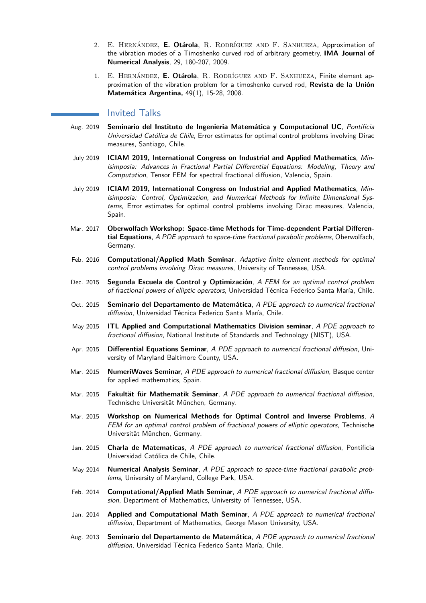- 2. E. Hernández, **E. Otárola**, R. Rodríguez and F. Sanhueza, Approximation of the vibration modes of a Timoshenko curved rod of arbitrary geometry, **IMA Journal of Numerical Analysis**, 29, 180-207, 2009.
- 1. E. Hernández, **E. Otárola**, R. Rodríguez and F. Sanhueza, Finite element approximation of the vibration problem for a timoshenko curved rod, **Revista de la Unión Matemática Argentina,** 49(1), 15-28, 2008.

#### Invited Talks

- Aug. 2019 **Seminario del Instituto de Ingenieria Matemática y Computacional UC**, Pontificia Universidad Católica de Chile, Error estimates for optimal control problems involving Dirac measures, Santiago, Chile.
- July 2019 **ICIAM 2019, International Congress on Industrial and Applied Mathematics**, Minisimposia: Advances in Fractional Partial Differential Equations: Modeling, Theory and Computation, Tensor FEM for spectral fractional diffusion, Valencia, Spain.
- July 2019 **ICIAM 2019, International Congress on Industrial and Applied Mathematics**, Minisimposia: Control, Optimization, and Numerical Methods for Infinite Dimensional Systems, Error estimates for optimal control problems involving Dirac measures, Valencia, Spain.
- Mar. 2017 **Oberwolfach Workshop: Space-time Methods for Time-dependent Partial Differential Equations**, A PDE approach to space-time fractional parabolic problems, Oberwolfach, Germany.
- Feb. 2016 **Computational/Applied Math Seminar**, Adaptive finite element methods for optimal control problems involving Dirac measures, University of Tennessee, USA.
- Dec. 2015 **Segunda Escuela de Control y Optimización**, A FEM for an optimal control problem of fractional powers of elliptic operators, Universidad Técnica Federico Santa María, Chile.
- Oct. 2015 **Seminario del Departamento de Matemática**, A PDE approach to numerical fractional diffusion, Universidad Técnica Federico Santa María, Chile.
- May 2015 **ITL Applied and Computational Mathematics Division seminar**, A PDE approach to fractional diffusion, National Institute of Standards and Technology (NIST), USA.
- Apr. 2015 **Differential Equations Seminar**, A PDE approach to numerical fractional diffusion, University of Maryland Baltimore County, USA.
- Mar. 2015 **NumeriWaves Seminar**, A PDE approach to numerical fractional diffusion, Basque center for applied mathematics, Spain.
- Mar. 2015 **Fakultät für Mathematik Seminar**, A PDE approach to numerical fractional diffusion, Technische Universität München, Germany.
- Mar. 2015 **Workshop on Numerical Methods for Optimal Control and Inverse Problems**, A FEM for an optimal control problem of fractional powers of elliptic operators, Technische Universität München, Germany.
- Jan. 2015 **Charla de Matematicas**, A PDE approach to numerical fractional diffusion, Pontificia Universidad Católica de Chile, Chile.
- May 2014 **Numerical Analysis Seminar**, A PDE approach to space-time fractional parabolic problems, University of Maryland, College Park, USA.
- Feb. 2014 **Computational/Applied Math Seminar**, A PDE approach to numerical fractional diffusion, Department of Mathematics, University of Tennessee, USA.
- Jan. 2014 **Applied and Computational Math Seminar**, A PDE approach to numerical fractional diffusion, Department of Mathematics, George Mason University, USA.
- Aug. 2013 **Seminario del Departamento de Matemática**, A PDE approach to numerical fractional diffusion, Universidad Técnica Federico Santa María, Chile.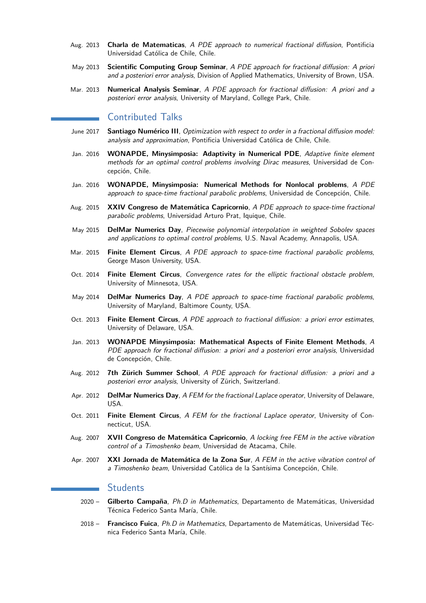- Aug. 2013 **Charla de Matematicas**, A PDE approach to numerical fractional diffusion, Pontificia Universidad Católica de Chile, Chile.
- May 2013 **Scientific Computing Group Seminar**, A PDE approach for fractional diffusion: A priori and a posteriori error analysis, Division of Applied Mathematics, University of Brown, USA.
- Mar. 2013 **Numerical Analysis Seminar**, A PDE approach for fractional diffusion: A priori and a posteriori error analysis, University of Maryland, College Park, Chile.

# Contributed Talks

- June 2017 **Santiago Numérico III**, Optimization with respect to order in a fractional diffusion model: analysis and approximation, Pontificia Universidad Católica de Chile, Chile.
- Jan. 2016 **WONAPDE, Minysimposia: Adaptivity in Numerical PDE**, Adaptive finite element methods for an optimal control problems involving Dirac measures, Universidad de Concepción, Chile.
- Jan. 2016 **WONAPDE, Minysimposia: Numerical Methods for Nonlocal problems**, A PDE approach to space-time fractional parabolic problems, Universidad de Concepción, Chile.
- Aug. 2015 **XXIV Congreso de Matemática Capricornio**, A PDE approach to space-time fractional parabolic problems, Universidad Arturo Prat, Iquique, Chile.
- May 2015 **DelMar Numerics Day**, Piecewise polynomial interpolation in weighted Sobolev spaces and applications to optimal control problems, U.S. Naval Academy, Annapolis, USA.
- Mar. 2015 **Finite Element Circus**, A PDE approach to space-time fractional parabolic problems, George Mason University, USA.
- Oct. 2014 **Finite Element Circus**, Convergence rates for the elliptic fractional obstacle problem, University of Minnesota, USA.
- May 2014 **DelMar Numerics Day**, A PDE approach to space-time fractional parabolic problems, University of Maryland, Baltimore County, USA.
- Oct. 2013 **Finite Element Circus**, A PDE approach to fractional diffusion: a priori error estimates, University of Delaware, USA.
- Jan. 2013 **WONAPDE Minysimposia: Mathematical Aspects of Finite Element Methods**, A PDE approach for fractional diffusion: a priori and a posteriori error analysis, Universidad de Concepción, Chile.
- Aug. 2012 **7th Zürich Summer School**, A PDE approach for fractional diffusion: a priori and a posteriori error analysis, University of Zürich, Switzerland.
- Apr. 2012 **DelMar Numerics Day**, A FEM for the fractional Laplace operator, University of Delaware, USA.
- Oct. 2011 **Finite Element Circus**, A FEM for the fractional Laplace operator, University of Connecticut, USA.
- Aug. 2007 **XVII Congreso de Matemática Capricornio**, A locking free FEM in the active vibration control of a Timoshenko beam, Universidad de Atacama, Chile.
- Apr. 2007 **XXI Jornada de Matemática de la Zona Sur**, A FEM in the active vibration control of a Timoshenko beam, Universidad Católica de la Santísima Concepción, Chile.

#### **Students**

- 2020 **Gilberto Campaña**, Ph.D in Mathematics, Departamento de Matemáticas, Universidad Técnica Federico Santa María, Chile.
- 2018 **Francisco Fuica**, Ph.D in Mathematics, Departamento de Matemáticas, Universidad Técnica Federico Santa María, Chile.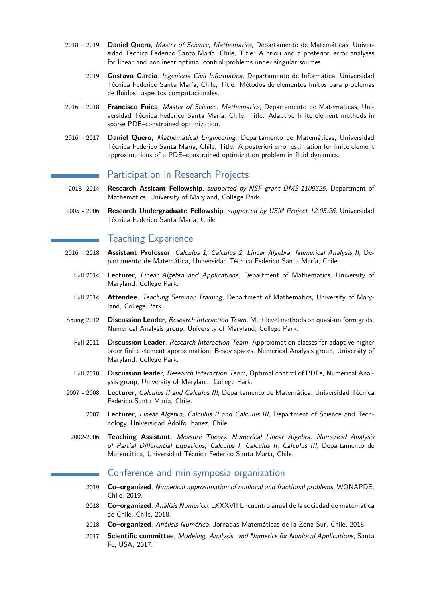- 2018 2019 **Daniel Quero**, Master of Science, Mathematics, Departamento de Matemáticas, Universidad Técnica Federico Santa María, Chile, Title: A priori and a posteriori error analyses for linear and nonlinear optimal control problems under singular sources.
	- 2019 **Gustavo Garcia**, Ingeniería Civil Informática, Departamento de Informática, Universidad Técnica Federico Santa María, Chile, Title: Métodos de elementos finitos para problemas de fluidos: aspectos computacionales.
- 2016 2018 **Francisco Fuica**, Master of Science, Mathematics, Departamento de Matemáticas, Universidad Técnica Federico Santa María, Chile, Title: Adaptive finite element methods in sparse PDE–constrained optimization.
- 2016 2017 **Daniel Quero**, Mathematical Engineering, Departamento de Matemáticas, Universidad Técnica Federico Santa María, Chile, Title: A posteriori error estimation for finite element approximations of a PDE–constrained optimization problem in fluid dynamics.

#### Participation in Research Projects

- 2013 -2014 **Research Assitant Fellowship**, supported by NSF grant DMS-1109325, Department of Mathematics, University of Maryland, College Park.
- 2005 2006 **Research Undergraduate Fellowship**, supported by USM Project 12.05.26, Universidad Técnica Federico Santa María, Chile.

### Teaching Experience

- 2016 2018 **Assistant Professor**, Calculus 1, Calculus 2, Linear Algebra, Numerical Analysis II, Departamento de Matemática, Universidad Técnica Federico Santa María, Chile.
	- Fall 2014 **Lecturer**, Linear Algebra and Applications, Department of Mathematics, University of Maryland, College Park.
	- Fall 2014 **Attendee**, Teaching Seminar Training, Department of Mathematics, University of Maryland, College Park.
- Spring 2012 **Discussion Leader**, Research Interaction Team, Multilevel methods on quasi-uniform grids, Numerical Analysis group, University of Maryland, College Park.
	- Fall 2011 **Discussion Leader**, Research Interaction Team, Approximation classes for adaptive higher order finite element approximation: Besov spaces, Numerical Analysis group, University of Maryland, College Park.
	- Fall 2010 **Discussion leader**, Research Interaction Team, Optimal control of PDEs, Numerical Analysis group, University of Maryland, College Park.
- 2007 2008 **Lecturer**, Calculus II and Calculus III, Departamento de Matemática, Universidad Técnica Federico Santa María, Chile.
	- 2007 **Lecturer**, Linear Algebra, Calculus II and Calculus III, Department of Science and Technology, Universidad Adolfo Ibanez, Chile.
	- 2002-2006 **Teaching Assistant**, Measure Theory, Numerical Linear Algebra, Numerical Analysis of Partial Differential Equations, Calculus I, Calculus II, Calculus III, Departamento de Matemática, Universidad Técnica Federico Santa María, Chile.

#### Conference and minisymposia organization

- 2019 **Co–organized**, Numerical approximation of nonlocal and fractional problems, WONAPDE, Chile, 2019.
- 2018 **Co–organized**, Análisis Numérico, LXXXVII Encuentro anual de la sociedad de matemática de Chile, Chile, 2018.
- 2018 **Co–organized**, Análisis Numérico, Jornadas Matemáticas de la Zona Sur, Chile, 2018.
- 2017 **Scientific committee**, Modeling, Analysis, and Numerics for Nonlocal Applications, Santa Fe, USA, 2017.